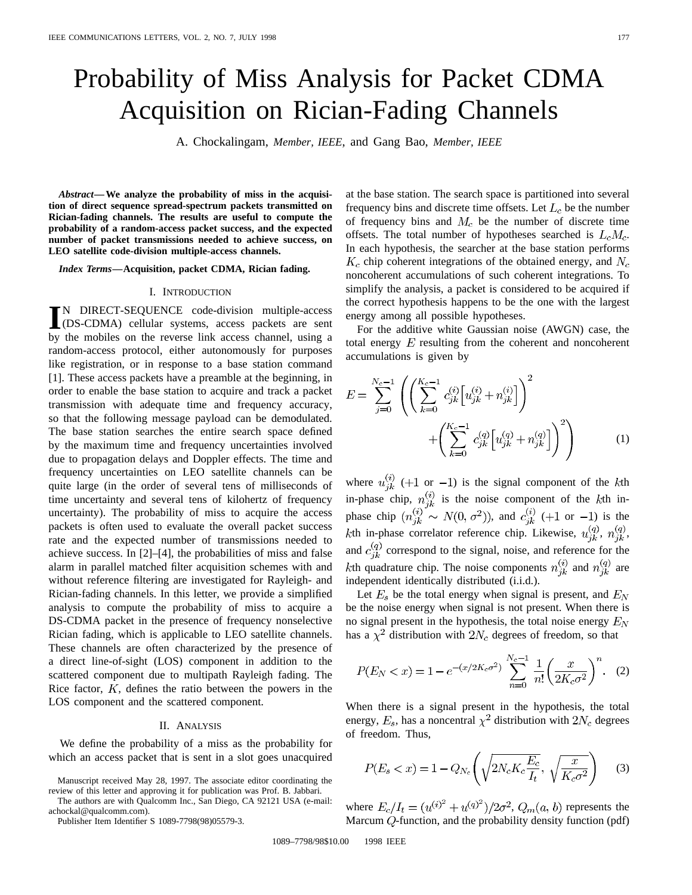# Probability of Miss Analysis for Packet CDMA Acquisition on Rician-Fading Channels

A. Chockalingam, *Member, IEEE*, and Gang Bao, *Member, IEEE*

*Abstract—***We analyze the probability of miss in the acquisition of direct sequence spread-spectrum packets transmitted on Rician-fading channels. The results are useful to compute the probability of a random-access packet success, and the expected number of packet transmissions needed to achieve success, on LEO satellite code-division multiple-access channels.**

*Index Terms—***Acquisition, packet CDMA, Rician fading.**

### I. INTRODUCTION

**I**N DIRECT-SEQUENCE code-division multiple-access (DS-CDMA) cellular systems, access packets are sent by the mobiles on the reverse link access channel, using a N DIRECT-SEQUENCE code-division multiple-access (DS-CDMA) cellular systems, access packets are sent random-access protocol, either autonomously for purposes like registration, or in response to a base station command [1]. These access packets have a preamble at the beginning, in order to enable the base station to acquire and track a packet transmission with adequate time and frequency accuracy, so that the following message payload can be demodulated. The base station searches the entire search space defined by the maximum time and frequency uncertainties involved due to propagation delays and Doppler effects. The time and frequency uncertainties on LEO satellite channels can be quite large (in the order of several tens of milliseconds of time uncertainty and several tens of kilohertz of frequency uncertainty). The probability of miss to acquire the access packets is often used to evaluate the overall packet success rate and the expected number of transmissions needed to achieve success. In [2]–[4], the probabilities of miss and false alarm in parallel matched filter acquisition schemes with and without reference filtering are investigated for Rayleigh- and Rician-fading channels. In this letter, we provide a simplified analysis to compute the probability of miss to acquire a DS-CDMA packet in the presence of frequency nonselective Rician fading, which is applicable to LEO satellite channels. These channels are often characterized by the presence of a direct line-of-sight (LOS) component in addition to the scattered component due to multipath Rayleigh fading. The Rice factor,  $K$ , defines the ratio between the powers in the LOS component and the scattered component.

## II. ANALYSIS

We define the probability of a miss as the probability for which an access packet that is sent in a slot goes unacquired

Manuscript received May 28, 1997. The associate editor coordinating the review of this letter and approving it for publication was Prof. B. Jabbari.

The authors are with Qualcomm Inc., San Diego, CA 92121 USA (e-mail: achockal@qualcomm.com).

Publisher Item Identifier S 1089-7798(98)05579-3.

at the base station. The search space is partitioned into several frequency bins and discrete time offsets. Let  $L_c$  be the number of frequency bins and  $M_c$  be the number of discrete time offsets. The total number of hypotheses searched is  $L_c M_c$ . In each hypothesis, the searcher at the base station performs  $K_c$  chip coherent integrations of the obtained energy, and  $N_c$ noncoherent accumulations of such coherent integrations. To simplify the analysis, a packet is considered to be acquired if the correct hypothesis happens to be the one with the largest energy among all possible hypotheses.

For the additive white Gaussian noise (AWGN) case, the total energy  $E$  resulting from the coherent and noncoherent accumulations is given by

$$
E = \sum_{j=0}^{N_c - 1} \left( \left( \sum_{k=0}^{K_c - 1} c_{jk}^{(i)} \left[ u_{jk}^{(i)} + n_{jk}^{(i)} \right] \right)^2 + \left( \sum_{k=0}^{K_c - 1} c_{jk}^{(q)} \left[ u_{jk}^{(q)} + n_{jk}^{(q)} \right] \right)^2 \right)
$$
(1)

where  $u_{jk}^{(i)}$  (+1 or -1) is the signal component of the kth in-phase chip,  $n_{ik}^{(i)}$  is the noise component of the kth inphase chip  $(n_{ik}^{(i)} \sim N(0, \sigma^2))$ , and  $c_{ik}^{(i)}$  (+1 or -1) is the kth in-phase correlator reference chip. Likewise,  $u_{jk}^{(q)}$ ,  $n_{jk}^{(q)}$ , and  $c_{jk}^{(q)}$  correspond to the signal, noise, and reference for the kth quadrature chip. The noise components  $n_{ik}^{(i)}$  and  $n_{ik}^{(q)}$  are independent identically distributed (i.i.d.).

Let  $E_s$  be the total energy when signal is present, and  $E_N$ be the noise energy when signal is not present. When there is no signal present in the hypothesis, the total noise energy  $E_N$ has a  $\chi^2$  distribution with  $2N_c$  degrees of freedom, so that

$$
P(E_N < x) = 1 - e^{-(x/2K_c\sigma^2)} \sum_{n=0}^{N_c-1} \frac{1}{n!} \left(\frac{x}{2K_c\sigma^2}\right)^n.
$$
 (2)

When there is a signal present in the hypothesis, the total energy,  $E_s$ , has a noncentral  $\chi^2$  distribution with  $2N_c$  degrees of freedom. Thus,

$$
P(E_s < x) = 1 - Q_{N_c} \left( \sqrt{2N_c K_c \frac{E_c}{I_t}}, \sqrt{\frac{x}{K_c \sigma^2}} \right) \tag{3}
$$

where  $E_c/I_t = (u^{(i)^2} + u^{(q)^2})/2\sigma^2$ ,  $Q_m(a, b)$  represents the Marcum  $Q$ -function, and the probability density function (pdf)

1089–7798/98\$10.00 1998 IEEE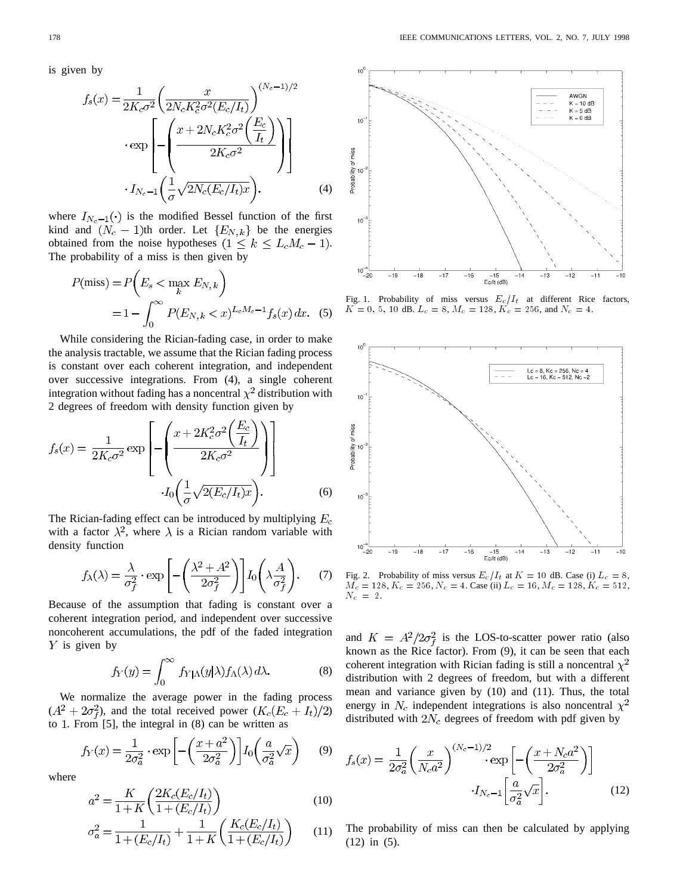is given by

$$
f_s(x) = \frac{1}{2K_c\sigma^2} \left(\frac{x}{2N_cK_c^2\sigma^2(E_c/I_t)}\right)^{(N_c - 1)/2}
$$

$$
\cdot \exp\left[-\left(\frac{x + 2N_cK_c^2\sigma^2\left(\frac{E_c}{I_t}\right)}{2K_c\sigma^2}\right)\right]
$$

$$
\cdot I_{N_c - 1}\left(\frac{1}{\sigma}\sqrt{2N_c(E_c/I_t)x}\right).
$$
(4)

where  $I_{N_c-1}(\cdot)$  is the modified Bessel function of the first kind and  $(N_c - 1)$ th order. Let  ${E_{N,k}}$  be the energies obtained from the noise hypotheses  $(1 \le k \le L_c M_c - 1)$ . The probability of a miss is then given by

$$
P(miss) = P\left(E_s < \max_k E_{N,k}\right)
$$
\n
$$
= 1 - \int_0^\infty P(E_{N,k} < x)^{L_c M_c - 1} f_s(x) \, dx. \tag{5}
$$

While considering the Rician-fading case, in order to make the analysis tractable, we assume that the Rician fading process is constant over each coherent integration, and independent over successive integrations. From (4), a single coherent integration without fading has a noncentral  $\chi^2$  distribution with 2 degrees of freedom with density function given by

$$
f_s(x) = \frac{1}{2K_c\sigma^2} \exp\left[-\left(\frac{x + 2K_c^2\sigma^2\left(\frac{E_c}{I_t}\right)}{2K_c\sigma^2}\right)\right]
$$

$$
I_0\left(\frac{1}{\sigma}\sqrt{2(E_c/I_t)x}\right).
$$
(6)

The Rician-fading effect can be introduced by multiplying  $E_c$ with a factor  $\lambda^2$ , where  $\lambda$  is a Rician random variable with density function

$$
f_{\lambda}(\lambda) = \frac{\lambda}{\sigma_f^2} \cdot \exp\left[-\left(\frac{\lambda^2 + A^2}{2\sigma_f^2}\right)\right] I_0\left(\lambda \frac{A}{\sigma_f^2}\right). \tag{7}
$$

Because of the assumption that fading is constant over a coherent integration period, and independent over successive noncoherent accumulations, the pdf of the faded integration  $Y$  is given by

$$
f_Y(y) = \int_0^\infty f_{Y|\Lambda}(y|\lambda) f_{\Lambda}(\lambda) d\lambda.
$$
 (8)

We normalize the average power in the fading process  $(A^2 + 2\sigma_f^2)$ , and the total received power  $(K_c(E_c + I_t)/2)$ to 1. From  $[5]$ , the integral in  $(8)$  can be written as

$$
f_Y(x) = \frac{1}{2\sigma_a^2} \cdot \exp\left[-\left(\frac{x+a^2}{2\sigma_a^2}\right)\right] I_0\left(\frac{a}{\sigma_a^2}\sqrt{x}\right) \tag{9}
$$

where

$$
a^2 = \frac{K}{1+K} \left( \frac{2K_c(E_c/I_t)}{1+(E_c/I_t)} \right)
$$
(10)

$$
\sigma_a^2 = \frac{1}{1 + (E_c/I_t)} + \frac{1}{1 + K} \left( \frac{K_c(E_c/I_t)}{1 + (E_c/I_t)} \right) \tag{11}
$$



Fig. 1. Probability of miss versus  $E_c/I_t$  at different Rice factors,  $K = 0, 5, 10$  dB.  $L_c = 8, M_c = 128, K_c = 256,$  and  $N_c = 4$ .



Fig. 2. Probability of miss versus  $E_c/I_t$  at  $K = 10$  dB. Case (i)  $L_c = 8$ ,  $\overline{M_c} = 128, K_c = 256, N_c = 4$ . Case (ii)  $L_c = 16, M_c = 128, K_c = 512,$  $N_c = 2$ .

and  $K = A^2/2\sigma_f^2$  is the LOS-to-scatter power ratio (also known as the Rice factor). From (9), it can be seen that each coherent integration with Rician fading is still a noncentral  $\chi^2$ distribution with 2 degrees of freedom, but with a different mean and variance given by (10) and (11). Thus, the total energy in  $N_c$  independent integrations is also noncentral  $\chi^2$ distributed with  $2N_c$  degrees of freedom with pdf given by

$$
f_s(x) = \frac{1}{2\sigma_a^2} \left(\frac{x}{N_c a^2}\right)^{(N_c - 1)/2} \exp\left[-\left(\frac{x + N_c a^2}{2\sigma_a^2}\right)\right]
$$

$$
\cdot I_{N_c - 1} \left[\frac{a}{\sigma_a^2} \sqrt{x}\right].
$$
(12)

The probability of miss can then be calculated by applying (12) in (5).